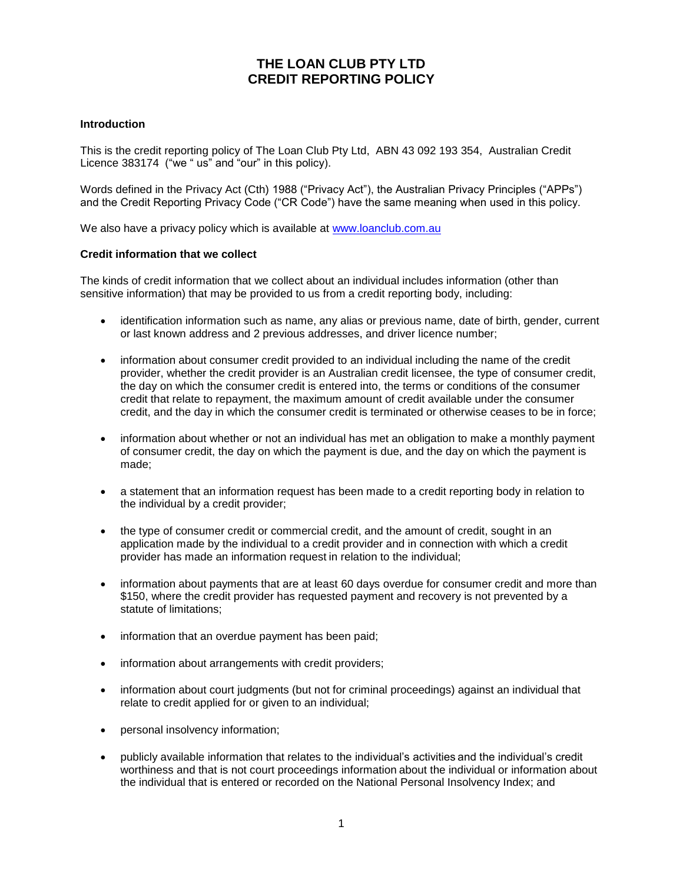# **THE LOAN CLUB PTY LTD CREDIT REPORTING POLICY**

## **Introduction**

This is the credit reporting policy of The Loan Club Pty Ltd, ABN 43 092 193 354, Australian Credit Licence 383174 ("we " us" and "our" in this policy).

Words defined in the Privacy Act (Cth) 1988 ("Privacy Act"), the Australian Privacy Principles ("APPs") and the Credit Reporting Privacy Code ("CR Code") have the same meaning when used in this policy.

We also have a privacy policy which is available at [www.loanclub.com.au](http://www.loanclub.com.au/)

#### **Credit information that we collect**

The kinds of credit information that we collect about an individual includes information (other than sensitive information) that may be provided to us from a credit reporting body, including:

- identification information such as name, any alias or previous name, date of birth, gender, current or last known address and 2 previous addresses, and driver licence number;
- information about consumer credit provided to an individual including the name of the credit provider, whether the credit provider is an Australian credit licensee, the type of consumer credit, the day on which the consumer credit is entered into, the terms or conditions of the consumer credit that relate to repayment, the maximum amount of credit available under the consumer credit, and the day in which the consumer credit is terminated or otherwise ceases to be in force;
- information about whether or not an individual has met an obligation to make a monthly payment of consumer credit, the day on which the payment is due, and the day on which the payment is made;
- a statement that an information request has been made to a credit reporting body in relation to the individual by a credit provider;
- the type of consumer credit or commercial credit, and the amount of credit, sought in an application made by the individual to a credit provider and in connection with which a credit provider has made an information request in relation to the individual;
- information about payments that are at least 60 days overdue for consumer credit and more than \$150, where the credit provider has requested payment and recovery is not prevented by a statute of limitations;
- information that an overdue payment has been paid;
- information about arrangements with credit providers;
- information about court judgments (but not for criminal proceedings) against an individual that relate to credit applied for or given to an individual;
- personal insolvency information;
- publicly available information that relates to the individual's activities and the individual's credit worthiness and that is not court proceedings information about the individual or information about the individual that is entered or recorded on the National Personal Insolvency Index; and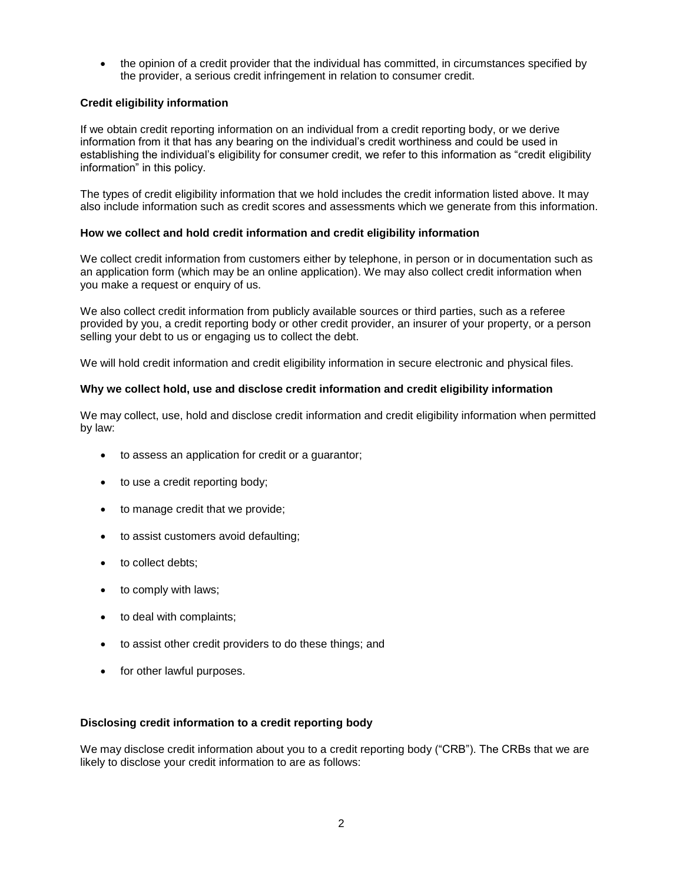• the opinion of a credit provider that the individual has committed, in circumstances specified by the provider, a serious credit infringement in relation to consumer credit.

# **Credit eligibility information**

If we obtain credit reporting information on an individual from a credit reporting body, or we derive information from it that has any bearing on the individual's credit worthiness and could be used in establishing the individual's eligibility for consumer credit, we refer to this information as "credit eligibility information" in this policy.

The types of credit eligibility information that we hold includes the credit information listed above. It may also include information such as credit scores and assessments which we generate from this information.

## **How we collect and hold credit information and credit eligibility information**

We collect credit information from customers either by telephone, in person or in documentation such as an application form (which may be an online application). We may also collect credit information when you make a request or enquiry of us.

We also collect credit information from publicly available sources or third parties, such as a referee provided by you, a credit reporting body or other credit provider, an insurer of your property, or a person selling your debt to us or engaging us to collect the debt.

We will hold credit information and credit eligibility information in secure electronic and physical files.

## **Why we collect hold, use and disclose credit information and credit eligibility information**

We may collect, use, hold and disclose credit information and credit eligibility information when permitted by law:

- to assess an application for credit or a guarantor;
- to use a credit reporting body;
- to manage credit that we provide;
- to assist customers avoid defaulting;
- to collect debts;
- to comply with laws;
- to deal with complaints;
- to assist other credit providers to do these things; and
- for other lawful purposes.

## **Disclosing credit information to a credit reporting body**

We may disclose credit information about you to a credit reporting body ("CRB"). The CRBs that we are likely to disclose your credit information to are as follows: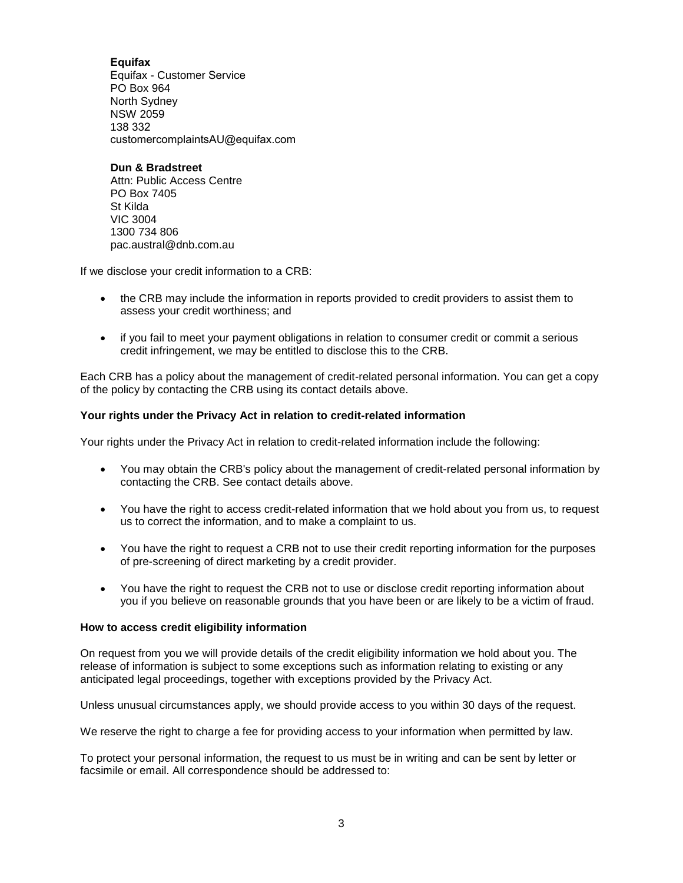**Equifax** Equifax - Customer Service PO Box 964 North Sydney NSW 2059 138 332 customercomplaintsAU@equifax.com

**Dun & Bradstreet** Attn: Public Access Centre PO Box 7405 St Kilda VIC 3004 1300 734 806 pac.austral@dnb.com.au

If we disclose your credit information to a CRB:

- the CRB may include the information in reports provided to credit providers to assist them to assess your credit worthiness; and
- if you fail to meet your payment obligations in relation to consumer credit or commit a serious credit infringement, we may be entitled to disclose this to the CRB.

Each CRB has a policy about the management of credit-related personal information. You can get a copy of the policy by contacting the CRB using its contact details above.

## **Your rights under the Privacy Act in relation to credit-related information**

Your rights under the Privacy Act in relation to credit-related information include the following:

- You may obtain the CRB's policy about the management of credit-related personal information by contacting the CRB. See contact details above.
- You have the right to access credit-related information that we hold about you from us, to request us to correct the information, and to make a complaint to us.
- You have the right to request a CRB not to use their credit reporting information for the purposes of pre-screening of direct marketing by a credit provider.
- You have the right to request the CRB not to use or disclose credit reporting information about you if you believe on reasonable grounds that you have been or are likely to be a victim of fraud.

## **How to access credit eligibility information**

On request from you we will provide details of the credit eligibility information we hold about you. The release of information is subject to some exceptions such as information relating to existing or any anticipated legal proceedings, together with exceptions provided by the Privacy Act.

Unless unusual circumstances apply, we should provide access to you within 30 days of the request.

We reserve the right to charge a fee for providing access to your information when permitted by law.

To protect your personal information, the request to us must be in writing and can be sent by letter or facsimile or email. All correspondence should be addressed to: